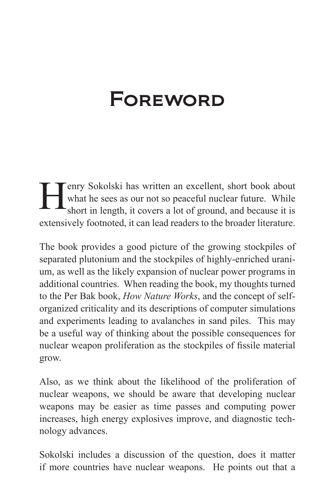## **FOREWORD**

**Henry Sokolski has written an excellent, short book about** what he sees as our not so peaceful nuclear future. While short in length, it covers a lot of ground, and because it is what he sees as our not so peaceful nuclear future. While short in length, it covers a lot of ground, and because it is extensively footnoted, it can lead readers to the broader literature.

The book provides a good picture of the growing stockpiles of separated plutonium and the stockpiles of highly-enriched uranium, as well as the likely expansion of nuclear power programs in additional countries. When reading the book, my thoughts turned to the Per Bak book, *How Nature Works*, and the concept of selforganized criticality and its descriptions of computer simulations and experiments leading to avalanches in sand piles. This may be a useful way of thinking about the possible consequences for nuclear weapon proliferation as the stockpiles of fissile material grow.

Also, as we think about the likelihood of the proliferation of nuclear weapons, we should be aware that developing nuclear weapons may be easier as time passes and computing power increases, high energy explosives improve, and diagnostic technology advances.

Sokolski includes a discussion of the question, does it matter if more countries have nuclear weapons. He points out that a